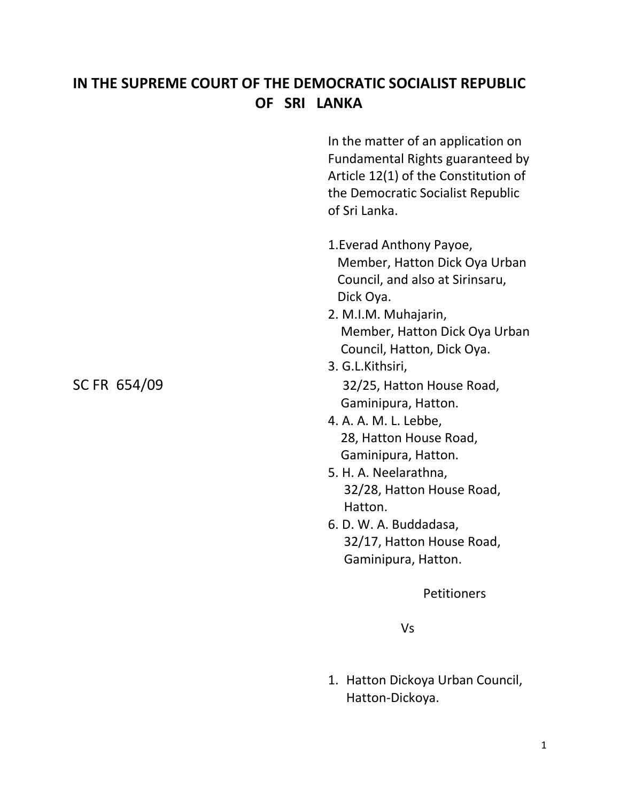## **IN THE SUPREME COURT OF THE DEMOCRATIC SOCIALIST REPUBLIC OF SRI LANKA**

In the matter of an application on Fundamental Rights guaranteed by Article 12(1) of the Constitution of the Democratic Socialist Republic of Sri Lanka.

- 1.Everad Anthony Payoe, Member, Hatton Dick Oya Urban Council, and also at Sirinsaru, Dick Oya.
- 2. M.I.M. Muhajarin, Member, Hatton Dick Oya Urban Council, Hatton, Dick Oya.
- 3. G.L.Kithsiri, SC FR 654/09 32/25, Hatton House Road, Gaminipura, Hatton.
	- 4. A. A. M. L. Lebbe, 28, Hatton House Road, Gaminipura, Hatton.
	- 5. H. A. Neelarathna, 32/28, Hatton House Road, Hatton.
	- 6. D. W. A. Buddadasa, 32/17, Hatton House Road, Gaminipura, Hatton.

**Petitioners** 

Vs

1. Hatton Dickoya Urban Council, Hatton-Dickoya.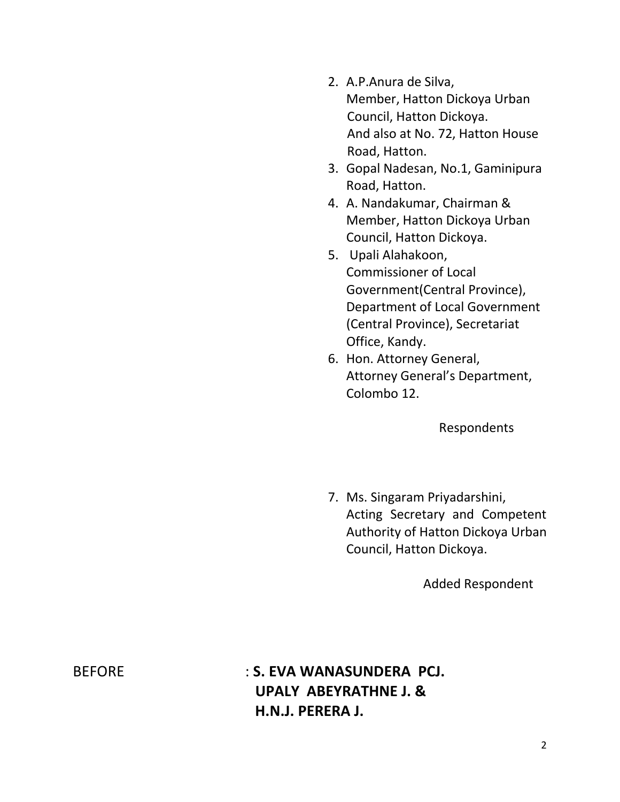- 2. A.P.Anura de Silva, Member, Hatton Dickoya Urban Council, Hatton Dickoya. And also at No. 72, Hatton House Road, Hatton.
- 3. Gopal Nadesan, No.1, Gaminipura Road, Hatton.
- 4. A. Nandakumar, Chairman & Member, Hatton Dickoya Urban Council, Hatton Dickoya.
- 5. Upali Alahakoon, Commissioner of Local Government(Central Province), Department of Local Government (Central Province), Secretariat Office, Kandy.
- 6. Hon. Attorney General, Attorney General's Department, Colombo 12.

Respondents

7. Ms. Singaram Priyadarshini, Acting Secretary and Competent Authority of Hatton Dickoya Urban Council, Hatton Dickoya.

Added Respondent

BEFORE : **S. EVA WANASUNDERA PCJ. UPALY ABEYRATHNE J. & H.N.J. PERERA J.**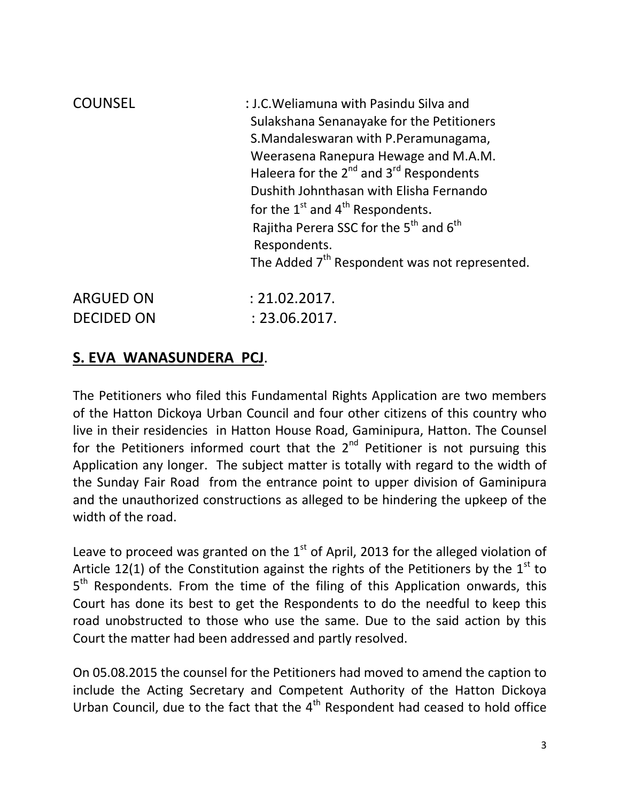| <b>COUNSEL</b>    | : J.C. Weliamuna with Pasindu Silva and<br>Sulakshana Senanayake for the Petitioners<br>S.Mandaleswaran with P.Peramunagama,<br>Weerasena Ranepura Hewage and M.A.M.<br>Haleera for the $2^{nd}$ and $3^{rd}$ Respondents<br>Dushith Johnthasan with Elisha Fernando<br>for the $1st$ and $4th$ Respondents.<br>Rajitha Perera SSC for the 5 <sup>th</sup> and 6 <sup>th</sup><br>Respondents.<br>The Added 7 <sup>th</sup> Respondent was not represented. |
|-------------------|-------------------------------------------------------------------------------------------------------------------------------------------------------------------------------------------------------------------------------------------------------------------------------------------------------------------------------------------------------------------------------------------------------------------------------------------------------------|
| <b>ARGUED ON</b>  | : 21.02.2017.                                                                                                                                                                                                                                                                                                                                                                                                                                               |
| <b>DECIDED ON</b> | : 23.06.2017.                                                                                                                                                                                                                                                                                                                                                                                                                                               |

## **S. EVA WANASUNDERA PCJ**.

The Petitioners who filed this Fundamental Rights Application are two members of the Hatton Dickoya Urban Council and four other citizens of this country who live in their residencies in Hatton House Road, Gaminipura, Hatton. The Counsel for the Petitioners informed court that the  $2<sup>nd</sup>$  Petitioner is not pursuing this Application any longer. The subject matter is totally with regard to the width of the Sunday Fair Road from the entrance point to upper division of Gaminipura and the unauthorized constructions as alleged to be hindering the upkeep of the width of the road.

Leave to proceed was granted on the  $1<sup>st</sup>$  of April, 2013 for the alleged violation of Article 12(1) of the Constitution against the rights of the Petitioners by the  $1<sup>st</sup>$  to 5<sup>th</sup> Respondents. From the time of the filing of this Application onwards, this Court has done its best to get the Respondents to do the needful to keep this road unobstructed to those who use the same. Due to the said action by this Court the matter had been addressed and partly resolved.

On 05.08.2015 the counsel for the Petitioners had moved to amend the caption to include the Acting Secretary and Competent Authority of the Hatton Dickoya Urban Council, due to the fact that the  $4<sup>th</sup>$  Respondent had ceased to hold office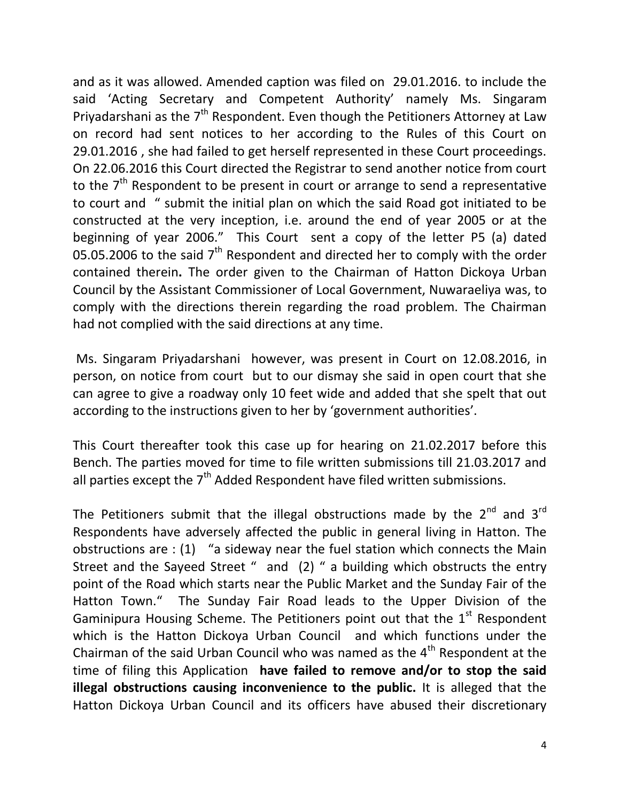and as it was allowed. Amended caption was filed on 29.01.2016. to include the said 'Acting Secretary and Competent Authority' namely Ms. Singaram Priyadarshani as the  $7<sup>th</sup>$  Respondent. Even though the Petitioners Attorney at Law on record had sent notices to her according to the Rules of this Court on 29.01.2016 , she had failed to get herself represented in these Court proceedings. On 22.06.2016 this Court directed the Registrar to send another notice from court to the  $7<sup>th</sup>$  Respondent to be present in court or arrange to send a representative to court and " submit the initial plan on which the said Road got initiated to be constructed at the very inception, i.e. around the end of year 2005 or at the beginning of year 2006." This Court sent a copy of the letter P5 (a) dated 05.05.2006 to the said  $7<sup>th</sup>$  Respondent and directed her to comply with the order contained therein**.** The order given to the Chairman of Hatton Dickoya Urban Council by the Assistant Commissioner of Local Government, Nuwaraeliya was, to comply with the directions therein regarding the road problem. The Chairman had not complied with the said directions at any time.

Ms. Singaram Priyadarshani however, was present in Court on 12.08.2016, in person, on notice from court but to our dismay she said in open court that she can agree to give a roadway only 10 feet wide and added that she spelt that out according to the instructions given to her by 'government authorities'.

This Court thereafter took this case up for hearing on 21.02.2017 before this Bench. The parties moved for time to file written submissions till 21.03.2017 and all parties except the  $7<sup>th</sup>$  Added Respondent have filed written submissions.

The Petitioners submit that the illegal obstructions made by the  $2^{nd}$  and  $3^{rd}$ Respondents have adversely affected the public in general living in Hatton. The obstructions are  $:(1)$  "a sideway near the fuel station which connects the Main Street and the Sayeed Street " and (2) " a building which obstructs the entry point of the Road which starts near the Public Market and the Sunday Fair of the Hatton Town." The Sunday Fair Road leads to the Upper Division of the Gaminipura Housing Scheme. The Petitioners point out that the  $1<sup>st</sup>$  Respondent which is the Hatton Dickoya Urban Council and which functions under the Chairman of the said Urban Council who was named as the  $4<sup>th</sup>$  Respondent at the time of filing this Application **have failed to remove and/or to stop the said illegal obstructions causing inconvenience to the public.** It is alleged that the Hatton Dickoya Urban Council and its officers have abused their discretionary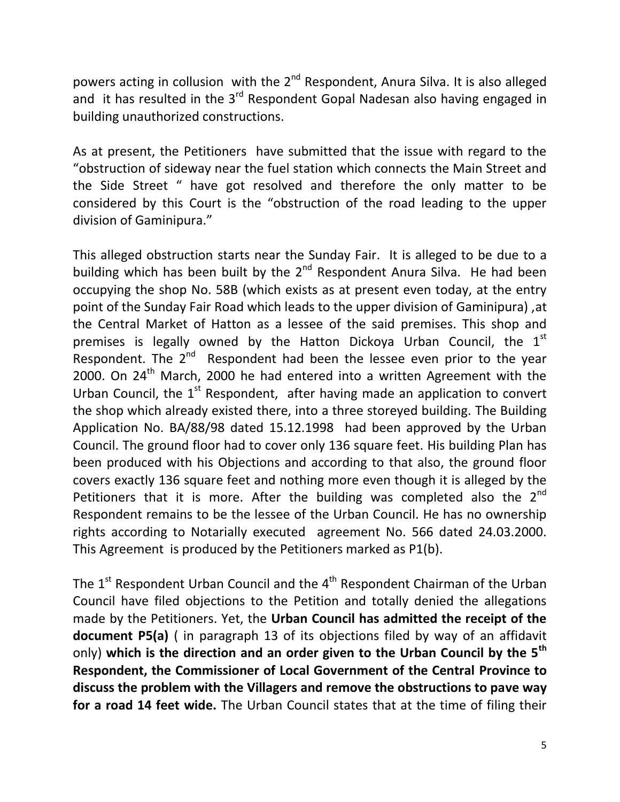powers acting in collusion with the 2<sup>nd</sup> Respondent, Anura Silva. It is also alleged and it has resulted in the 3<sup>rd</sup> Respondent Gopal Nadesan also having engaged in building unauthorized constructions.

As at present, the Petitioners have submitted that the issue with regard to the "obstruction of sideway near the fuel station which connects the Main Street and the Side Street " have got resolved and therefore the only matter to be considered by this Court is the "obstruction of the road leading to the upper division of Gaminipura."

This alleged obstruction starts near the Sunday Fair. It is alleged to be due to a building which has been built by the  $2^{nd}$  Respondent Anura Silva. He had been occupying the shop No. 58B (which exists as at present even today, at the entry point of the Sunday Fair Road which leads to the upper division of Gaminipura) ,at the Central Market of Hatton as a lessee of the said premises. This shop and premises is legally owned by the Hatton Dickoya Urban Council, the  $1<sup>st</sup>$ Respondent. The  $2^{nd}$  Respondent had been the lessee even prior to the year 2000. On  $24<sup>th</sup>$  March, 2000 he had entered into a written Agreement with the Urban Council, the  $1<sup>st</sup>$  Respondent, after having made an application to convert the shop which already existed there, into a three storeyed building. The Building Application No. BA/88/98 dated 15.12.1998 had been approved by the Urban Council. The ground floor had to cover only 136 square feet. His building Plan has been produced with his Objections and according to that also, the ground floor covers exactly 136 square feet and nothing more even though it is alleged by the Petitioners that it is more. After the building was completed also the  $2^{nd}$ Respondent remains to be the lessee of the Urban Council. He has no ownership rights according to Notarially executed agreement No. 566 dated 24.03.2000. This Agreement is produced by the Petitioners marked as P1(b).

The  $1<sup>st</sup>$  Respondent Urban Council and the  $4<sup>th</sup>$  Respondent Chairman of the Urban Council have filed objections to the Petition and totally denied the allegations made by the Petitioners. Yet, the **Urban Council has admitted the receipt of the document P5(a)** ( in paragraph 13 of its objections filed by way of an affidavit only) **which is the direction and an order given to the Urban Council by the 5th Respondent, the Commissioner of Local Government of the Central Province to discuss the problem with the Villagers and remove the obstructions to pave way for a road 14 feet wide.** The Urban Council states that at the time of filing their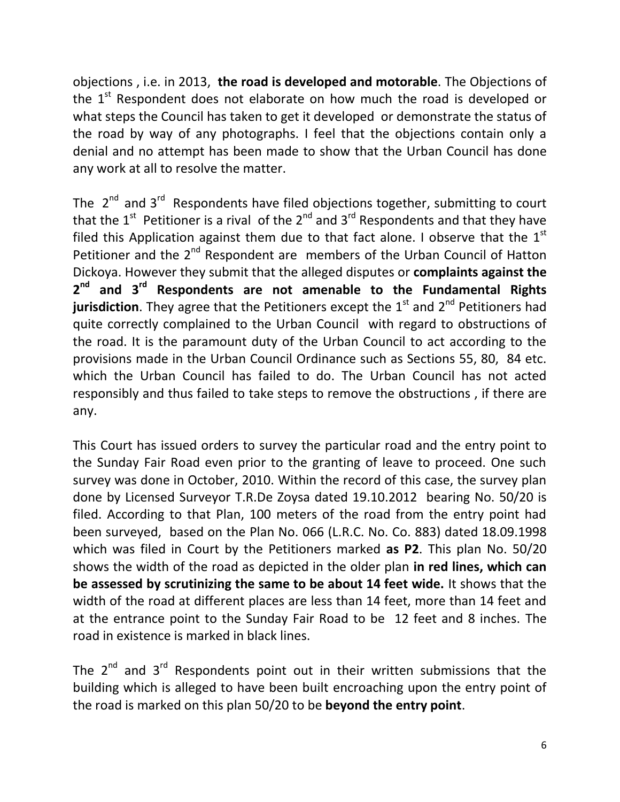objections , i.e. in 2013, **the road is developed and motorable**. The Objections of the  $1<sup>st</sup>$  Respondent does not elaborate on how much the road is developed or what steps the Council has taken to get it developed or demonstrate the status of the road by way of any photographs. I feel that the objections contain only a denial and no attempt has been made to show that the Urban Council has done any work at all to resolve the matter.

The  $2^{nd}$  and  $3^{rd}$  Respondents have filed objections together, submitting to court that the  $1^{\text{st}}$  Petitioner is a rival of the  $2^{\text{nd}}$  and  $3^{\text{rd}}$  Respondents and that they have filed this Application against them due to that fact alone. I observe that the  $1<sup>st</sup>$ Petitioner and the  $2^{nd}$  Respondent are members of the Urban Council of Hatton Dickoya. However they submit that the alleged disputes or **complaints against the 2 nd and 3rd Respondents are not amenable to the Fundamental Rights jurisdiction**. They agree that the Petitioners except the 1<sup>st</sup> and 2<sup>nd</sup> Petitioners had quite correctly complained to the Urban Council with regard to obstructions of the road. It is the paramount duty of the Urban Council to act according to the provisions made in the Urban Council Ordinance such as Sections 55, 80, 84 etc. which the Urban Council has failed to do. The Urban Council has not acted responsibly and thus failed to take steps to remove the obstructions , if there are any.

This Court has issued orders to survey the particular road and the entry point to the Sunday Fair Road even prior to the granting of leave to proceed. One such survey was done in October, 2010. Within the record of this case, the survey plan done by Licensed Surveyor T.R.De Zoysa dated 19.10.2012 bearing No. 50/20 is filed. According to that Plan, 100 meters of the road from the entry point had been surveyed, based on the Plan No. 066 (L.R.C. No. Co. 883) dated 18.09.1998 which was filed in Court by the Petitioners marked **as P2**. This plan No. 50/20 shows the width of the road as depicted in the older plan **in red lines, which can be assessed by scrutinizing the same to be about 14 feet wide.** It shows that the width of the road at different places are less than 14 feet, more than 14 feet and at the entrance point to the Sunday Fair Road to be 12 feet and 8 inches. The road in existence is marked in black lines.

The  $2^{nd}$  and  $3^{rd}$  Respondents point out in their written submissions that the building which is alleged to have been built encroaching upon the entry point of the road is marked on this plan 50/20 to be **beyond the entry point**.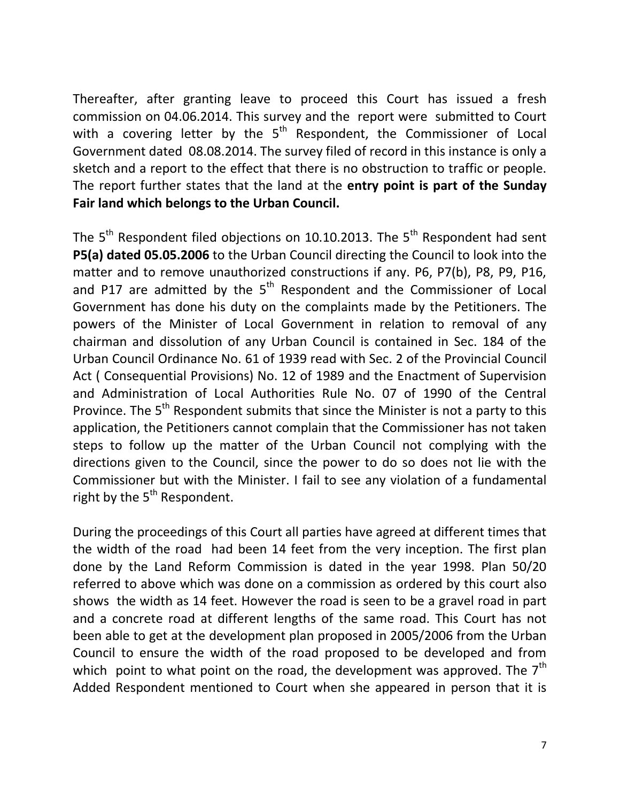Thereafter, after granting leave to proceed this Court has issued a fresh commission on 04.06.2014. This survey and the report were submitted to Court with a covering letter by the  $5<sup>th</sup>$  Respondent, the Commissioner of Local Government dated 08.08.2014. The survey filed of record in this instance is only a sketch and a report to the effect that there is no obstruction to traffic or people. The report further states that the land at the **entry point is part of the Sunday Fair land which belongs to the Urban Council.**

The  $5<sup>th</sup>$  Respondent filed objections on 10.10.2013. The  $5<sup>th</sup>$  Respondent had sent **P5(a) dated 05.05.2006** to the Urban Council directing the Council to look into the matter and to remove unauthorized constructions if any. P6, P7(b), P8, P9, P16, and P17 are admitted by the  $5<sup>th</sup>$  Respondent and the Commissioner of Local Government has done his duty on the complaints made by the Petitioners. The powers of the Minister of Local Government in relation to removal of any chairman and dissolution of any Urban Council is contained in Sec. 184 of the Urban Council Ordinance No. 61 of 1939 read with Sec. 2 of the Provincial Council Act ( Consequential Provisions) No. 12 of 1989 and the Enactment of Supervision and Administration of Local Authorities Rule No. 07 of 1990 of the Central Province. The  $5<sup>th</sup>$  Respondent submits that since the Minister is not a party to this application, the Petitioners cannot complain that the Commissioner has not taken steps to follow up the matter of the Urban Council not complying with the directions given to the Council, since the power to do so does not lie with the Commissioner but with the Minister. I fail to see any violation of a fundamental right by the  $5<sup>th</sup>$  Respondent.

During the proceedings of this Court all parties have agreed at different times that the width of the road had been 14 feet from the very inception. The first plan done by the Land Reform Commission is dated in the year 1998. Plan 50/20 referred to above which was done on a commission as ordered by this court also shows the width as 14 feet. However the road is seen to be a gravel road in part and a concrete road at different lengths of the same road. This Court has not been able to get at the development plan proposed in 2005/2006 from the Urban Council to ensure the width of the road proposed to be developed and from which point to what point on the road, the development was approved. The  $7<sup>th</sup>$ Added Respondent mentioned to Court when she appeared in person that it is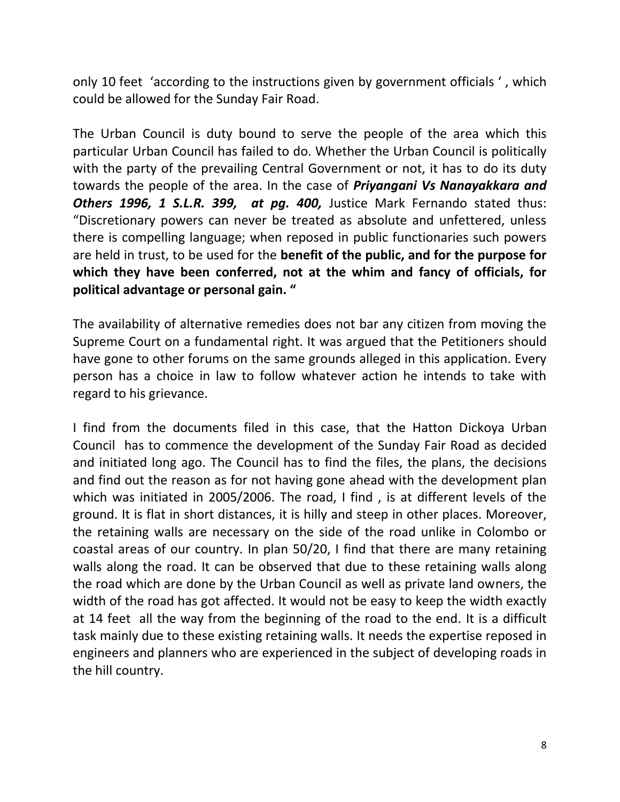only 10 feet 'according to the instructions given by government officials ' , which could be allowed for the Sunday Fair Road.

The Urban Council is duty bound to serve the people of the area which this particular Urban Council has failed to do. Whether the Urban Council is politically with the party of the prevailing Central Government or not, it has to do its duty towards the people of the area. In the case of *Priyangani Vs Nanayakkara and Others 1996, 1 S.L.R. 399, at pg. 400,* Justice Mark Fernando stated thus: "Discretionary powers can never be treated as absolute and unfettered, unless there is compelling language; when reposed in public functionaries such powers are held in trust, to be used for the **benefit of the public, and for the purpose for which they have been conferred, not at the whim and fancy of officials, for political advantage or personal gain. "** 

The availability of alternative remedies does not bar any citizen from moving the Supreme Court on a fundamental right. It was argued that the Petitioners should have gone to other forums on the same grounds alleged in this application. Every person has a choice in law to follow whatever action he intends to take with regard to his grievance.

I find from the documents filed in this case, that the Hatton Dickoya Urban Council has to commence the development of the Sunday Fair Road as decided and initiated long ago. The Council has to find the files, the plans, the decisions and find out the reason as for not having gone ahead with the development plan which was initiated in 2005/2006. The road, I find , is at different levels of the ground. It is flat in short distances, it is hilly and steep in other places. Moreover, the retaining walls are necessary on the side of the road unlike in Colombo or coastal areas of our country. In plan 50/20, I find that there are many retaining walls along the road. It can be observed that due to these retaining walls along the road which are done by the Urban Council as well as private land owners, the width of the road has got affected. It would not be easy to keep the width exactly at 14 feet all the way from the beginning of the road to the end. It is a difficult task mainly due to these existing retaining walls. It needs the expertise reposed in engineers and planners who are experienced in the subject of developing roads in the hill country.